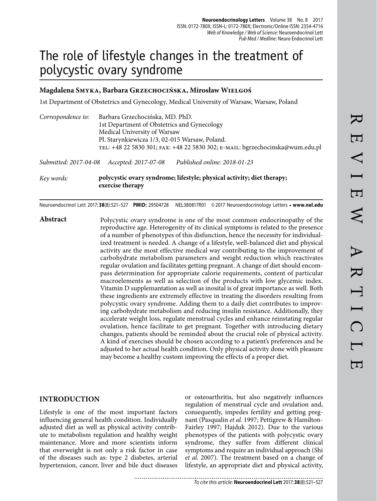# The role of lifestyle changes in the treatment of polycystic ovary syndrome

#### **Magdalena Smyka, Barbara Grzechocińska, Mirosław Wielgoś**

1st Department of Obstetrics and Gynecology, Medical University of Warsaw, Warsaw, Poland

| Correspondence to:    | Barbara Grzechocińska, MD. PhD.<br>1st Department of Obstetrics and Gynecology |                                                                               |  |  |  |  |  |  |
|-----------------------|--------------------------------------------------------------------------------|-------------------------------------------------------------------------------|--|--|--|--|--|--|
|                       | Medical University of Warsaw<br>Pl. Starynkiewicza 1/3, 02-015 Warsaw, Poland. |                                                                               |  |  |  |  |  |  |
|                       |                                                                                | TEL: +48 22 5830 301; FAX: +48 22 5830 302; E-MAIL: bgrzechocinska@wum.edu.pl |  |  |  |  |  |  |
| Submitted: 2017-04-08 | Accepted: 2017-07-08                                                           | Published online: 2018-01-23                                                  |  |  |  |  |  |  |

*Key words:* **polycystic ovary syndrome; lifestyle; physical activity; diet therapy; exercise therapy**

Neuroendocrinol Lett 2017; **38**(8):521–527 **PMID:** 29504728 NEL380817R01 © 2017 Neuroendocrinology Letters • **www.nel.edu**

Abstract Polycystic ovary syndrome is one of the most common endocrinopathy of the reproductive age. Heterogenity of its clinical symptoms is related to the presence of a number of phenotypes of this disfunction, hence the necessity for individualized treatment is needed. A change of a lifestyle, well-balanced diet and physical activity are the most effective medical way contributing to the improvement of carbohydrate metabolism parameters and weight reduction which reactivates regular ovulation and facilitates getting pregnant. A change of diet should encompass determination for appropriate calorie requirements, content of particular macroelements as well as selection of the products with low glycemic index. Vitamin D supplemantation as well as inosital is of great importance as well. Both these ingredients are extremely effective in treating the disorders resulting from polycystic ovary syndrome. Adding them to a daily diet contributes to improving carbohydrate metabolism and reducing insulin resistance. Additionally, they accelerate weight loss, regulate menstrual cycles and enhance reinstating regular ovulation, hence facilitate to get pregnant. Together with introducing dietary changes, patients should be reminded about the crucial role of physical activity. A kind of exercises should be chosen according to a patient's preferences and be adjusted to her actual health condition. Only physical activity done with pleasure may become a healthy custom improving the effects of a proper diet.

#### **INTRODUCTION**

Lifestyle is one of the most important factors influencing general health condition. Individually adjusted diet as well as physical activity contribute to metabolism regulation and healthy weight maintenance. More and more scientists inform that overweight is not only a risk factor in case of the diseases such as: type 2 diabetes, arterial hypertension, cancer, liver and bile duct diseases

or osteoarthritis, but also negatively influences regulation of menstrual cycle and ovulation and, consequently, impedes fertility and getting pregnant (Pasqualin *et al.* 1997; Pettigrew & Hamilton-Fairley 1997; Hajduk 2012). Due to the various phenotypes of the patients with polycystic ovary syndrome, they suffer from different clinical symptoms and require an individual approach (Shi *et al.* 2007). The treatment based on a change of lifestyle, an appropriate diet and physical activity,

**Neuroendocrinology Letters** Volume 38 No. 8 2017

ISSN: 0172-780X; ISSN-L: 0172-780X; Electronic/Online ISSN: 2354-4716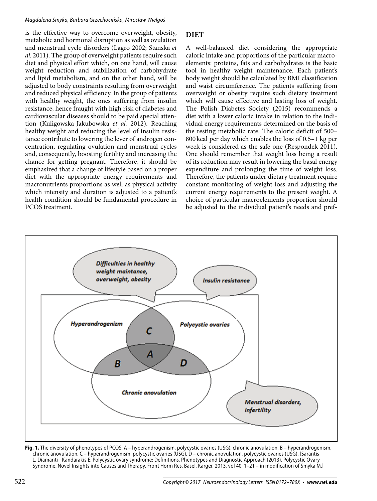is the effective way to overcome overweight, obesity, metabolic and hormonal disruption as well as ovulation and menstrual cycle disorders (Lagro 2002; Stanska *et al.* 2011). The group of overweight patients require such diet and physical effort which, on one hand, will cause weight reduction and stabilization of carbohydrate and lipid metabolism, and on the other hand, will be adjusted to body constraints resulting from overweight and reduced physical efficiency. In the group of patients with healthy weight, the ones suffering from insulin resistance, hence fraught with high risk of diabetes and cardiovascular diseases should to be paid special attention (Kuligowska-Jakubowska *et al.* 2012). Reaching healthy weight and reducing the level of insulin resistance contribute to lowering the lever of androgen concentration, regulating ovulation and menstrual cycles and, consequently, boosting fertility and increasing the chance for getting pregnant. Therefore, it should be emphasized that a change of lifestyle based on a proper diet with the appropriate energy requirements and macronutrients proportions as well as physical activity which intensity and duration is adjusted to a patient's health condition should be fundamental procedure in PCOS treatment.

## **DIET**

A well-balanced diet considering the appropriate caloric intake and proportions of the particular macroelements: proteins, fats and carbohydrates is the basic tool in healthy weight maintenance. Each patient's body weight should be calculated by BMI classification and waist circumference. The patients suffering from overweight or obesity require such dietary treatment which will cause effective and lasting loss of weight. The Polish Diabetes Society (2015) recommends a diet with a lower caloric intake in relation to the individual energy requirements determined on the basis of the resting metabolic rate. The caloric deficit of 500– 800 kcal per day which enables the loss of 0.5–1 kg per week is considered as the safe one (Respondek 2011). One should remember that weight loss being a result of its reduction may result in lowering the basal energy expenditure and prolonging the time of weight loss. Therefore, the patients under dietary treatment require constant monitoring of weight loss and adjusting the current energy requirements to the present weight. A choice of particular macroelements proportion should be adjusted to the individual patient's needs and pref-



**Fig. 1.** The diversity of phenotypes of PCOS. A – hyperandrogenism, polycystic ovaries (USG), chronic anovulation, B – hyperandrogenism, chronic anovulation, C – hyperandrogenism, polycystic ovaries (USG), D – chronic anovulation, polycystic ovaries (USG). [Sarantis L, Diamanti - Kandarakis E. Polycystic ovary syndrome: Definitions, Phenotypes and Diagnostic Approach (2013). Polycystic Ovary Syndrome. Novel Insights into Causes and Therapy. Front Horm Res. Basel, Karger, 2013, vol 40, 1–21 – in modification of Smyka M.]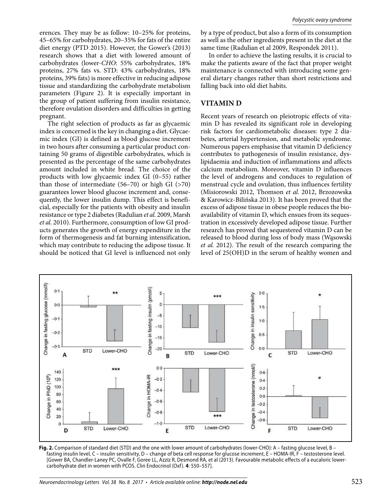erences. They may be as follow: 10–25% for proteins, 45–65% for carbohydrates, 20–35% for fats of the entire diet energy (PTD 2015). However, the Gower's (2013) research shows that a diet with lowered amount of carbohydrates (lower-*CHO*: 55% carbohydrates, 18% proteins, 27% fats vs. STD: 43% carbohydrates, 18% proteins, 39% fats) is more effective in reducing adipose tissue and standardizing the carbohydrate metabolism parameters (Figure 2). It is especially important in the group of patient suffering from insulin resistance, therefore ovulation disorders and difficulties in getting pregnant.

The right selection of products as far as glycaemic index is concerned is the key in changing a diet. Glycaemic index (GI) is defined as blood glucose increment in two hours after consuming a particular product containing 50 grams of digestible carbohydrates, which is presented as the percentage of the same carbohydrates amount included in white bread. The choice of the products with low glycaemic index GI (0–55) rather than those of intermediate  $(56-70)$  or high GI (>70) guarantees lower blood glucose increment and, consequently, the lower insulin dump. This effect is beneficial, especially for the patients with obesity and insulin resistance or type 2 diabetes (Radulian *et al.* 2009, Marsh *et al.* 2010). Furthermore, consumption of low GI products generates the growth of energy expenditure in the form of thermogenesis and fat burning intensification, which may contribute to reducing the adipose tissue. It should be noticed that GI level is influenced not only

by a type of product, but also a form of its consumption as well as the other ingredients present in the diet at the same time (Radulian et al 2009, Respondek 2011).

In order to achieve the lasting results, it is crucial to make the patients aware of the fact that proper weight maintenance is connected with introducing some general dietary changes rather than short restrictions and falling back into old diet habits.

#### **VITAMIN D**

Recent years of research on pleiotropic effects of vitamin D has revealed its significant role in developing risk factors for cardiometabolic diseases: type 2 diabetes, arterial hypertension, and metabolic syndrome. Numerous papers emphasise that vitamin D deficiency contributes to pathogenesis of insulin resistance, dyslipidaemia and induction of inflammations and affects calcium metabolism. Moreover, vitamin D influences the level of androgens and conduces to regulation of menstrual cycle and ovulation, thus influences fertility (Misiorowski 2012, Thomson *et al.* 2012, Brzozowska & Karowicz-Bilińska 2013). It has been proved that the excess of adipose tissue in obese people reduces the bioavailability of vitamin D, which ensues from its sequestration in excessively developed adipose tissue. Further research has proved that sequestered vitamin D can be released to blood during loss of body mass (Wąsowski *et al.* 2012). The result of the research comparing the level of 25(OH)D in the serum of healthy women and



**Fig. 2.** Comparison of standard diet (STD) and the one with lower amount of carbohydrates (lower-CHO): A – fasting glucose level, B – fasting insulin level, C – insulin sensitivity, D – change of beta cell response for glucose increment, E – HOMA-IR, F – testosterone level. [Gower BA, Chandler-Laney PC, Ovalle F, Goree LL, Azziz R, Desmond RA, et al (2013). Favourable metabolic effects of a eucaloric lowercarbohydrate diet in women with PCOS. Clin Endocrinol (Oxf ). **4**: 550–557].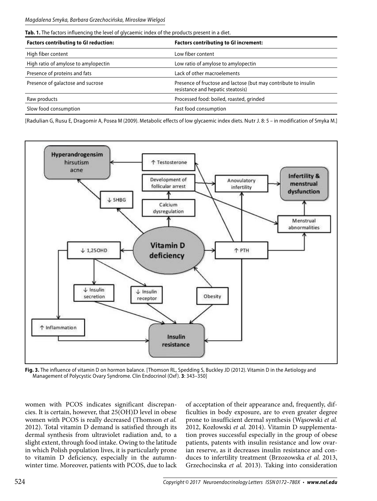|  |  |  |  |  | Tab. 1. The factors influencing the level of glycaemic index of the products present in a diet. |  |
|--|--|--|--|--|-------------------------------------------------------------------------------------------------|--|
|  |  |  |  |  |                                                                                                 |  |

| <b>Factors contributing to GI reduction:</b> | <b>Factors contributing to GI increment:</b>                                                         |  |  |  |  |
|----------------------------------------------|------------------------------------------------------------------------------------------------------|--|--|--|--|
| High fiber content                           | Low fiber content                                                                                    |  |  |  |  |
| High ratio of amylose to amylopectin         | Low ratio of amylose to amylopectin                                                                  |  |  |  |  |
| Presence of proteins and fats                | Lack of other macroelements                                                                          |  |  |  |  |
| Presence of galactose and sucrose            | Presence of fructose and lactose (but may contribute to insulin<br>resistance and hepatic steatosis) |  |  |  |  |
| Raw products                                 | Processed food: boiled, roasted, grinded                                                             |  |  |  |  |
| Slow food consumption                        | Fast food consumption                                                                                |  |  |  |  |

[Radulian G, Rusu E, Dragomir A, Posea M (2009). Metabolic effects of low glycaemic index diets. Nutr J. 8: 5 – in modification of Smyka M.]



**Fig. 3.** The influence of vitamin D on hormon balance. [Thomson RL, Spedding S, Buckley JD (2012). Vitamin D in the Aetiology and Management of Polycystic Ovary Syndrome. Clin Endocrinol (Oxf). 3: 343-350]

women with PCOS indicates significant discrepancies. It is certain, however, that 25(OH)D level in obese women with PCOS is really decreased (Thomson *et al.*  2012). Total vitamin D demand is satisfied through its dermal synthesis from ultraviolet radiation and, to a slight extent, through food intake. Owing to the latitude in which Polish population lives, it is particularly prone to vitamin D deficiency, especially in the autumnwinter time. Moreover, patients with PCOS, due to lack

of acceptation of their appearance and, frequently, difficulties in body exposure, are to even greater degree prone to insufficient dermal synthesis (Wąsowski *et al.*  2012, Kozłowski *et al.* 2014). Vitamin D supplementation proves successful especially in the group of obese patients, patents with insulin resistance and low ovarian reserve, as it decreases insulin resistance and conduces to infertility treatment (Brzozowska *et al.* 2013, Grzechocinska *et al.* 2013). Taking into consideration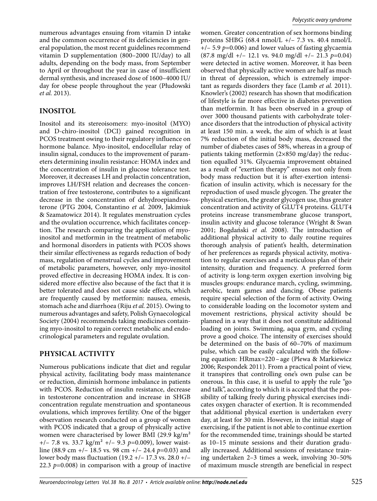numerous advantages ensuing from vitamin D intake and the common occurrence of its deficiencies in general population, the most recent guidelines recommend vitamin D supplementation (800–2000 IU/day) to all adults, depending on the body mass, from September to April or throughout the year in case of insufficient dermal synthesis, and increased dose of 1600–4000 IU/ day for obese people throughout the year (Płudowski *et al.* 2013).

### **INOSITOL**

Inositol and its stereoisomer*s*: myo-inositol (MYO) and D-chiro-inositol (DCI) gained recognition in PCOS treatment owing to their regulatory influence on hormone balance. Myo-inositol, endocellular relay of insulin signal, conduces to the improvement of parameters determining insulin resistance: HOMA index and the concentration of insulin in glucose tolerance test. Moreover, it decreases LH and prolactin concentration, improves LH/FSH relation and decreases the concentration of free testosterone, contributes to a significant decrease in the concentration of dehydroepiandrosterone (PTG 2004, Constantino *et al.* 2009, Jakimiuk & Szamatowicz 2014). It regulates menstruation cycles and the ovulation occurrence, which facilitates conception. The research comparing the application of myoinositol and metformin in the treatment of metabolic and hormonal disorders in patients with PCOS shows their similar effectiveness as regards reduction of body mass, regulation of menstrual cycles and improvement of metabolic parameters, however, only myo-inositol proved effective in decreasing HOMA index. It is considered more effective also because of the fact that it is better tolerated and does not cause side effects, which are frequently caused by metformin: nausea, emesis, stomach ache and diarrhoea (Riju *et al.* 2015). Owing to numerous advantages and safety, Polish Gynaecological Society (2004) recommends taking medicines containing myo-inositol to regain correct metabolic and endocrinological parameters and regulate ovulation.

#### **PHYSICAL ACTIVITY**

Numerous publications indicate that diet and regular physical activity, facilitating body mass maintenance or reduction, diminish hormone imbalance in patients with PCOS. Reduction of insulin resistance, decrease in testosterone concentration and increase in SHGB concentration regulate menstruation and spontaneous ovulations, which improves fertility. One of the bigger observation research conducted on a group of women with PCOS indicated that a group of physically active women were characterised by lower BMI (29.9 kg/m² +/– 7.8 vs. 33.7 kg/m² +/– 9.3 *p*=0.009), lower waistline (88.9 cm +/– 18.5 vs. 98 cm +/– 24.4 *p*=0.03) and lower body mass fluctuation (19.2 +/– 17.3 vs. 28.0 +/– 22.3 *p*=0.008) in comparison with a group of inactive

women. Greater concentration of sex hormons binding proteins SHBG (68.4 nmol/L  $+/- 7.3$  vs. 40.4 nmol/L +/– 5.9 *p*=0.006) and lower values of fasting glycaemia (87.8 mg/dl +/– 12.1 vs. 94.0 mg/dl +/– 21.3 *p*=0.04) were detected in active women. Moreover, it has been observed that physically active women are half as much in threat of depression, which is extremely important as regards disorders they face (Lamb *et al.* 2011). Knowler's (2002) research has shown that modification of lifestyle is far more effective in diabetes prevention than metformin. It has been observed in a group of over 3000 thousand patients with carbohydrate tolerance disorders that the introduction of physical activity at least 150 min. a week, the aim of which is at least 7% reduction of the initial body mass, decreased the number of diabetes cases of 58%, whereas in a group of patients taking metformin (2×850 mg/day) the reduction equalled 31%. Glycaemia improvement obtained as a result of "exertion therapy" ensues not only from body mass reduction but it is after-exertion intensification of insulin activity, which is necessary for the reproduction of used muscle glycogen. The greater the physical exertion, the greater glycogen use, thus greater concentration and activity of GLUT4 proteins. GLUT4 proteins increase transmembrane glucose transport, insulin activity and glucose tolerance (Wright & Swan 2001; Bogdański *et al.* 2008). The introduction of additional physical activity to daily routine requires thorough analysis of patient's health, determination of her preferences as regards physical activity, motivation to regular exercises and a meticulous plan of their intensity, duration and frequency. A preferred form of activity is long-term oxygen exertion involving big muscles groups: endurance march, cycling, swimming, aerobic, team games and dancing. Obese patients require special selection of the form of activity. Owing to considerable loading on the locomotor system and movement restrictions, physical activity should be planned in a way that it does not constitute additional loading on joints. Swimming, aqua gym, and cycling prove a good choice. The intensity of exercises should be determined on the basis of 60–70% of maximum pulse, which can be easily calculated with the following equation: HRmax=220 – age (Plewa & Markiewicz 2006; Respondek 2011). From a practical point of view, it transpires that controlling one's own pulse can be onerous. In this case, it is useful to apply the rule "go and talk", according to which it is accepted that the possibility of talking freely during physical exercises indicates oxygen character of exertion. It is recommended that additional physical exertion is undertaken every day, at least for 30 min. However, in the initial stage of exercising, if the patient is not able to continue exertion for the recommended time, trainings should be started as 10–15 minute sessions and their duration gradually increased. Additional sessions of resistance training undertaken 2–3 times a week, involving 30–50% of maximum muscle strength are beneficial in respect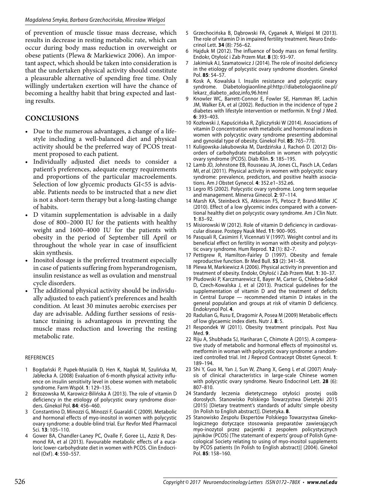of prevention of muscle tissue mass decrease, which results in decrease in resting metabolic rate, which can occur during body mass reduction in overweight or obese patients (Plewa & Markiewicz 2006). An important aspect, which should be taken into consideration is that the undertaken physical activity should constitute a pleasurable alternative of spending free time. Only willingly undertaken exertion will have the chance of becoming a healthy habit that bring expected and lasting results.

## **CONCLUSIONS**

- Due to the numerous advantages, a change of a lifestyle including a well-balanced diet and physical activity should be the preferred way of PCOS treatment proposed to each patient.
- Individually adjusted diet needs to consider a patient's preferences, adequate energy requirements and proportions of the particular macroelements. Selection of low glycemic products GI<55 is advisable. Patients needs to be instructed that a new diet is not a short-term therapy but a long-lasting change of habits.
- D vitamin supplementation is advisable in a daily dose of 800–2000 IU for the patients with healthy weight and 1600–4000 IU for the patients with obesity in the period of September till April or throughout the whole year in case of insufficient skin synthesis.
- Inositol dosage is the preferred treatment especially in case of patients suffering from hyperandrogenism, insulin resistance as well as ovulation and menstrual cycle disorders.
- The additional physical activity should be individually adjusted to each patient's preferences and health condition. At least 30 minutes aerobic exercises per day are advisable. Adding further sessions of resistance training is advantageous in preventing the muscle mass reduction and lowering the resting metabolic rate.

#### REFERENCES

- 1 Bogdański P, Pupek-Musialik D, Hen K, Naglak M, Szulińska M, Jabłecka A. (2008) Evaluation of 6-month physical activity influence on insulin sensitivity level in obese women with metabolic syndrome. Farm Współ. **1**: 129–135.
- 2 Brzozowska M, Karowicz-Bilińska A (2013). The role of vitamin D deficiency in the etiology of polycystic ovary syndrome disorders. Ginekol Pol. **84**: 456–460.
- 3 Constantino D, Minozzi G, Minozzi F, Guaraldi C (2009). Metabolic and hormonal effects of myo-inositol in women with polycystic ovary syndrome: a double-blind trial. Eur Revfor Med Pharmacol Sci. **13**: 105–110.
- 4 Gower BA, Chandler-Laney PC, Ovalle F, Goree LL, Azziz R, Desmond RA, et al (2013). Favourable metabolic effects of a eucaloric lower-carbohydrate diet in women with PCOS. Clin Endocrinol (Oxf ). **4**: 550–557.
- 5 Grzechocińska B, Dąbrowski FA, Cyganek A, Wielgoś M (2013). The role of vitamin D in impaired fertility treatment. Neuro Endocrinol Lett. **34** (8): 756–62.
- 6 Hajduk M (2012). The influence of body mass on femal fertility. Endokr, Otyłość i Zab Przem Mat. **8** (3): 93–97.
- Jakimiuk AJ, Szamatowicz J (2014). The role of inositol deficiency in the etiology of polycystic ovary syndrome disorders. Ginekol Pol. **85**: 54–57.
- 8 Kosk A, Kowalska I. Insulin resistance and polycystic ovary syndrome. Diabetologiaonline.pl:http://diabetologiaonline.pl/ lekarz\_diabeto\_adoz,info,96.html
- 9 Knowler WC, Barrett-Connor E, Fowler SE, Hamman RF, Lachin JM, Walker EA, et al (2002). Reduction in the incidence of type 2 diabetes with lifestyle intervention or metformin. N Engl J Med. **6**: 393–403.
- 10 Kozłowski J, Kapuścińska R, Zgliczyński W (2014). Associations of vitamin D concentration with metabolic and hormonal indices in women with polycystic ovary syndrome presenting abdominal and gynoidal type of obesity. Ginekol Pol. **85**: 765–770.
- 11 Kuligowska-Jakubowska M, Dardzińska J, Rachoń D. (2012) Disorders of carbohydrate metabolism in women with polycystic ovary syndrome (PCOS). Diab Klin. **5**: 185–195.
- 12 Lamb JD, Johnstone EB, Rousseau JA, Jones CL, Pasch LA, Cedars MI, et al. (2011). Physical activity in women with polycystic ovary syndrome: prevalence, predictors, and positive health associations. Am J Obstet Gynecol. **4**: 352.e1–352.e6.
- 13 Legro RS (2002). Polycystic ovary syndrome. Long term sequelae and management. Minerva Ginecol. **2**: 97–114.
- 14 Marsh KA, Steinbeck KS, Atkinson FS, Petocz P, Brand-Miller JC (2010). Effect of a low glycemic index compared with a conventional healthy diet on polycystic ovary syndrome. Am J Clin Nutr. **1**: 83–92.
- 15 Misiorowski W (2012). Role of vitamin D deficiency in cardiovascular disease. Postępy Nauk Med. **11**: 900–905.
- 16 Pasquali R, Casimirri F, Vicennati V (1997). Weight control and its beneficial effect on fertility in woman with obesity and polycystic ovary syndrome. Hum Reprod. **12** (1): 82–7.
- 17 Pettigrew R, Hamilton-Fairley D (1997). Obesity and female reproductive function. Br Med Bull. **53** (2): 341–58.
- 18 Plewa M, Markiewicz A (2006). Physical activity in prevention and treatment of obesity. Endokr, Otyłość i Zab Przem Mat. **1**: 30–37.
- 19 Płudowski P, Karczmarewicz E, Bayer M, Carter G, Chlebna-Sokół D, Czech-Kowalska J, et al (2013). Practical guidelines for the supplementation of vitamin D and the treatment of deficits in Central Europe — recommended vitamin D intakes in the general population and groups at risk of vitamin D deficiency. Endokrynol Pol. **4**.
- 20 Radulian G, Rusu E, Dragomir A, Posea M (2009) Metabolic effects of low glycaemic index diets. Nutr J. **8**: 5.
- 21 Respondek W (2011). Obesity treatment principals. Post Nau Med. **9**.
- 22 Riju A, Shubhada SJ, Hariharan C, Chimote A (2015). A comperative study of metabolic and hormonal effects of myoinositol vs. metformin in woman with polycystic ovary syndrome: a randomized controlled trial. Int J Reprod Contracept Obstet Gynecol. **1**: 189–194.
- 23 Shi Y, Guo M, Yan J, Sun W, Zhang X, Geng L et al. (2007) Analysis of clinical characteristics in large-scale Chinese women with polycystic ovary syndrome. Neuro Endocrinol Lett. **28** (6): 807–810.
- 24 Standardy leczenia dietetycznego otyłości prostej osób dorosłych. Stanowisko Polskiego Towarzystwa Dietetyki 2015 (2015) [Dietary treatment's standards of adults' simple obesity (In Polish to English abstract)]. Dietetyka. **8**.
- 25 Stanowisko Zespołu Ekspertów Polskiego Towarzystwa Ginekologicznego dotyczące stosowania preparatów zawierających myo-inozytol przez pacjentki z zespołem policystycznych jajników (PCOS) [The statemant of experts' group of Polish Gynecological Society relating to using of myo-inositol supplements by PCOS patients (In Polish to English abstract)] (2004). Ginekol Pol. **85**: 158–160.